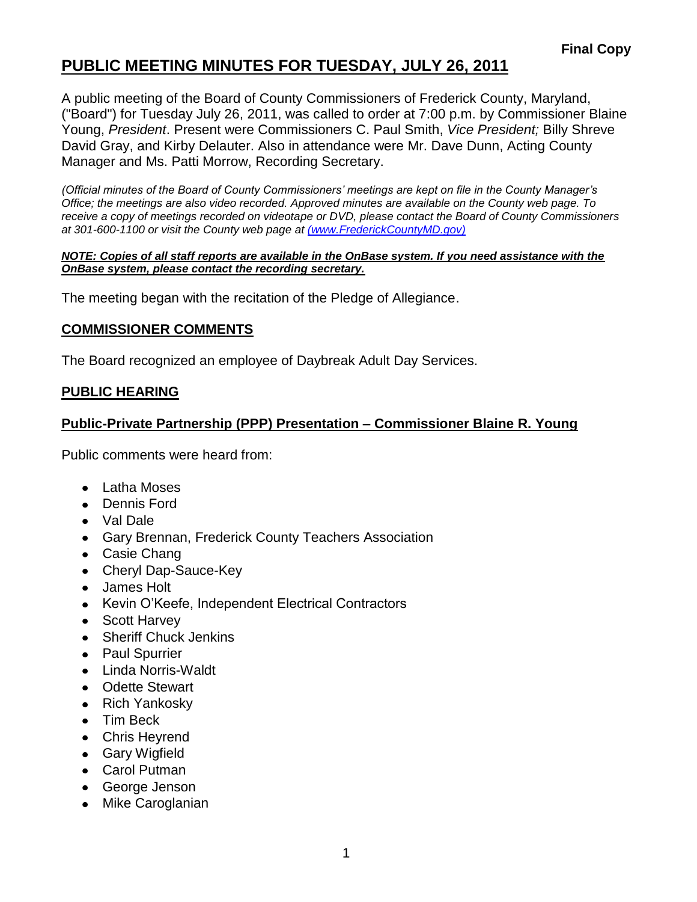# **PUBLIC MEETING MINUTES FOR TUESDAY, JULY 26, 2011**

A public meeting of the Board of County Commissioners of Frederick County, Maryland, ("Board") for Tuesday July 26, 2011, was called to order at 7:00 p.m. by Commissioner Blaine Young, *President*. Present were Commissioners C. Paul Smith, *Vice President;* Billy Shreve David Gray, and Kirby Delauter. Also in attendance were Mr. Dave Dunn, Acting County Manager and Ms. Patti Morrow, Recording Secretary.

*(Official minutes of the Board of County Commissioners' meetings are kept on file in the County Manager's Office; the meetings are also video recorded. Approved minutes are available on the County web page. To receive a copy of meetings recorded on videotape or DVD, please contact the Board of County Commissioners at 301-600-1100 or visit the County web page at [\(www.FrederickCountyMD.gov\)](file://NT1S5/BOCC/BOCC/BOCC%20Minutes/Patti)*

#### *NOTE: Copies of all staff reports are available in the OnBase system. If you need assistance with the OnBase system, please contact the recording secretary.*

The meeting began with the recitation of the Pledge of Allegiance.

#### **COMMISSIONER COMMENTS**

The Board recognized an employee of Daybreak Adult Day Services.

#### **PUBLIC HEARING**

### **Public-Private Partnership (PPP) Presentation – Commissioner Blaine R. Young**

Public comments were heard from:

- Latha Moses
- Dennis Ford
- Val Dale
- Gary Brennan, Frederick County Teachers Association
- Casie Chang
- Cheryl Dap-Sauce-Key
- James Holt
- Kevin O'Keefe, Independent Electrical Contractors
- Scott Harvey
- Sheriff Chuck Jenkins
- Paul Spurrier
- Linda Norris-Waldt
- Odette Stewart
- Rich Yankosky
- Tim Beck
- Chris Heyrend
- Gary Wigfield
- Carol Putman
- George Jenson
- Mike Caroglanian